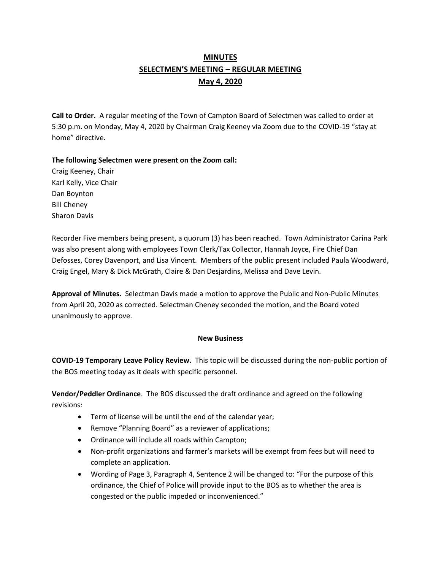# **MINUTES SELECTMEN'S MEETING – REGULAR MEETING May 4, 2020**

**Call to Order.** A regular meeting of the Town of Campton Board of Selectmen was called to order at 5:30 p.m. on Monday, May 4, 2020 by Chairman Craig Keeney via Zoom due to the COVID-19 "stay at home" directive.

**The following Selectmen were present on the Zoom call:** 

Craig Keeney, Chair Karl Kelly, Vice Chair Dan Boynton Bill Cheney Sharon Davis

Recorder Five members being present, a quorum (3) has been reached.Town Administrator Carina Park was also present along with employees Town Clerk/Tax Collector, Hannah Joyce, Fire Chief Dan Defosses, Corey Davenport, and Lisa Vincent. Members of the public present included Paula Woodward, Craig Engel, Mary & Dick McGrath, Claire & Dan Desjardins, Melissa and Dave Levin.

**Approval of Minutes.** Selectman Davis made a motion to approve the Public and Non-Public Minutes from April 20, 2020 as corrected. Selectman Cheney seconded the motion, and the Board voted unanimously to approve.

## **New Business**

**COVID-19 Temporary Leave Policy Review.** This topic will be discussed during the non-public portion of the BOS meeting today as it deals with specific personnel.

**Vendor/Peddler Ordinance**. The BOS discussed the draft ordinance and agreed on the following revisions:

- Term of license will be until the end of the calendar year;
- Remove "Planning Board" as a reviewer of applications;
- Ordinance will include all roads within Campton;
- Non-profit organizations and farmer's markets will be exempt from fees but will need to complete an application.
- Wording of Page 3, Paragraph 4, Sentence 2 will be changed to: "For the purpose of this ordinance, the Chief of Police will provide input to the BOS as to whether the area is congested or the public impeded or inconvenienced."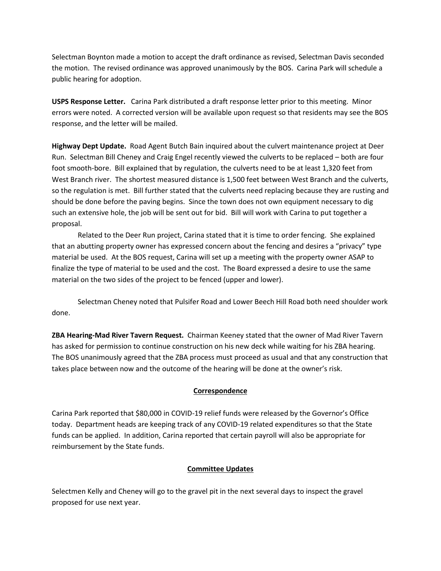Selectman Boynton made a motion to accept the draft ordinance as revised, Selectman Davis seconded the motion. The revised ordinance was approved unanimously by the BOS. Carina Park will schedule a public hearing for adoption.

**USPS Response Letter.** Carina Park distributed a draft response letter prior to this meeting. Minor errors were noted. A corrected version will be available upon request so that residents may see the BOS response, and the letter will be mailed.

**Highway Dept Update.** Road Agent Butch Bain inquired about the culvert maintenance project at Deer Run. Selectman Bill Cheney and Craig Engel recently viewed the culverts to be replaced – both are four foot smooth-bore. Bill explained that by regulation, the culverts need to be at least 1,320 feet from West Branch river. The shortest measured distance is 1,500 feet between West Branch and the culverts, so the regulation is met. Bill further stated that the culverts need replacing because they are rusting and should be done before the paving begins. Since the town does not own equipment necessary to dig such an extensive hole, the job will be sent out for bid. Bill will work with Carina to put together a proposal.

Related to the Deer Run project, Carina stated that it is time to order fencing. She explained that an abutting property owner has expressed concern about the fencing and desires a "privacy" type material be used. At the BOS request, Carina will set up a meeting with the property owner ASAP to finalize the type of material to be used and the cost. The Board expressed a desire to use the same material on the two sides of the project to be fenced (upper and lower).

Selectman Cheney noted that Pulsifer Road and Lower Beech Hill Road both need shoulder work done.

**ZBA Hearing-Mad River Tavern Request.** Chairman Keeney stated that the owner of Mad River Tavern has asked for permission to continue construction on his new deck while waiting for his ZBA hearing. The BOS unanimously agreed that the ZBA process must proceed as usual and that any construction that takes place between now and the outcome of the hearing will be done at the owner's risk.

## **Correspondence**

Carina Park reported that \$80,000 in COVID-19 relief funds were released by the Governor's Office today. Department heads are keeping track of any COVID-19 related expenditures so that the State funds can be applied. In addition, Carina reported that certain payroll will also be appropriate for reimbursement by the State funds.

#### **Committee Updates**

Selectmen Kelly and Cheney will go to the gravel pit in the next several days to inspect the gravel proposed for use next year.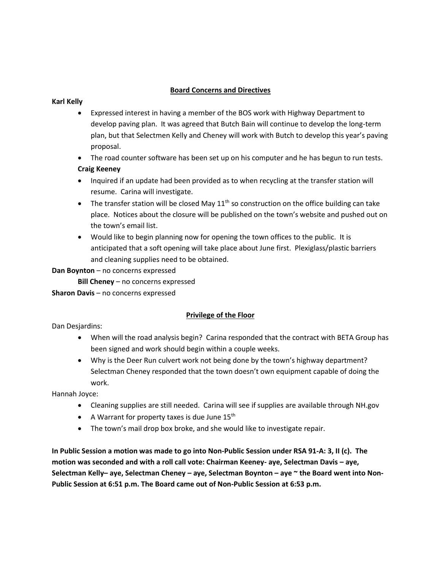### **Board Concerns and Directives**

#### **Karl Kelly**

- Expressed interest in having a member of the BOS work with Highway Department to develop paving plan. It was agreed that Butch Bain will continue to develop the long-term plan, but that Selectmen Kelly and Cheney will work with Butch to develop this year's paving proposal.
- The road counter software has been set up on his computer and he has begun to run tests. **Craig Keeney**
- Inquired if an update had been provided as to when recycling at the transfer station will resume. Carina will investigate.
- The transfer station will be closed May  $11<sup>th</sup>$  so construction on the office building can take place. Notices about the closure will be published on the town's website and pushed out on the town's email list.
- Would like to begin planning now for opening the town offices to the public. It is anticipated that a soft opening will take place about June first. Plexiglass/plastic barriers and cleaning supplies need to be obtained.

**Dan Boynton** – no concerns expressed

**Bill Cheney** – no concerns expressed

**Sharon Davis** – no concerns expressed

## **Privilege of the Floor**

Dan Desjardins:

- When will the road analysis begin? Carina responded that the contract with BETA Group has been signed and work should begin within a couple weeks.
- Why is the Deer Run culvert work not being done by the town's highway department? Selectman Cheney responded that the town doesn't own equipment capable of doing the work.

Hannah Joyce:

- Cleaning supplies are still needed. Carina will see if supplies are available through NH.gov
- A Warrant for property taxes is due June  $15<sup>th</sup>$
- The town's mail drop box broke, and she would like to investigate repair.

**In Public Session a motion was made to go into Non-Public Session under RSA 91-A: 3, II (c). The motion was seconded and with a roll call vote: Chairman Keeney- aye, Selectman Davis – aye, Selectman Kelly– aye, Selectman Cheney – aye, Selectman Boynton – aye ~ the Board went into Non-Public Session at 6:51 p.m. The Board came out of Non-Public Session at 6:53 p.m.**